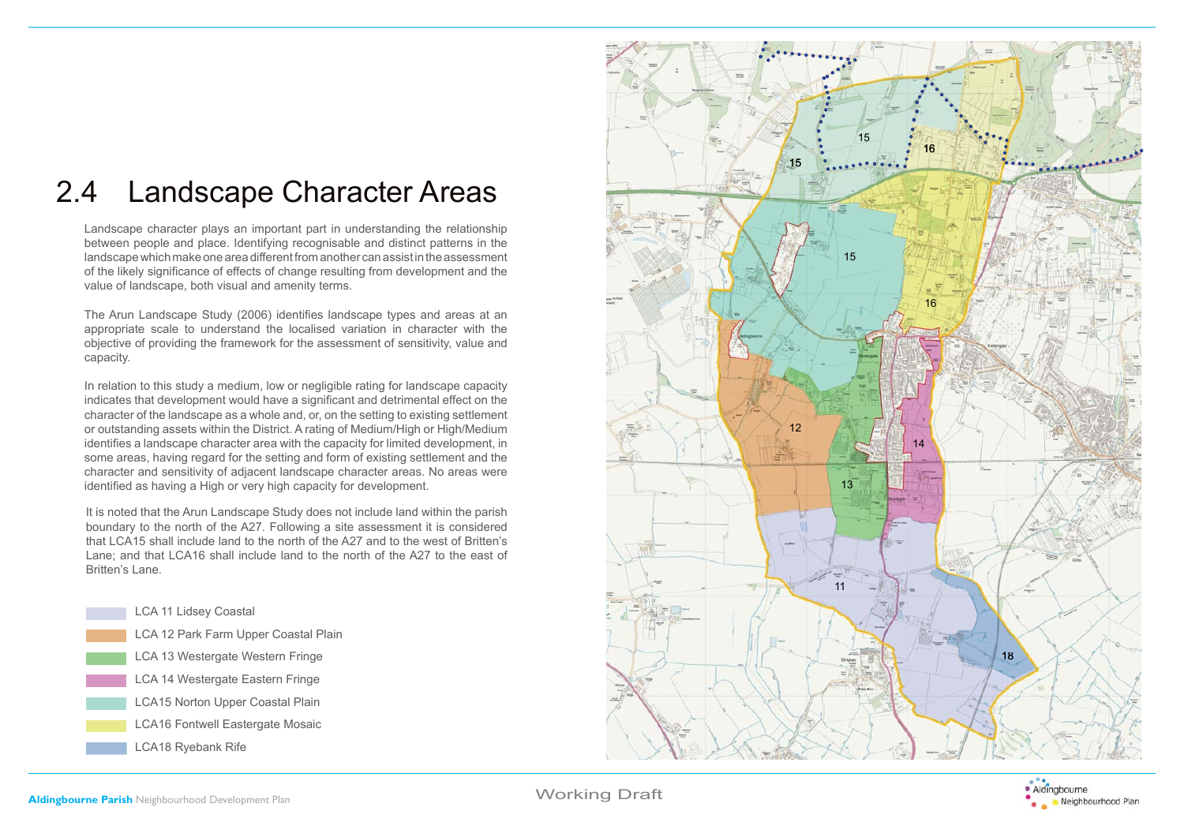# 2.4 Landscape Character Areas

 Landscape character plays an important part in understanding the relationship between people and place. Identifying recognisable and distinct patterns in the landscape which make one area different from another can assist in the assessment of the likely significance of effects of change resulting from development and the value of landscape, both visual and amenity terms.

The Arun Landscape Study (2006) identifies landscape types and areas at an appropriate scale to understand the localised variation in character with the objective of providing the framework for the assessment of sensitivity, value and capacity.

 In relation to this study a medium, low or negligible rating for landscape capacity indicates that development would have a significant and detrimental effect on the character of the landscape as a whole and, or, on the setting to existing settlement or outstanding assets within the District. A rating of Medium/High or High/Medium identifies a landscape character area with the capacity for limited development, in some areas, having regard for the setting and form of existing settlement and the character and sensitivity of adjacent landscape character areas. No areas were identified as having a High or very high capacity for development.

It is noted that the Arun Landscape Study does not include land within the parish boundary to the north of the A27. Following a site assessment it is considered that LCA15 shall include land to the north of the A27 and to the west of Britten's Lane; and that LCA16 shall include land to the north of the A27 to the east of Britten's Lane.





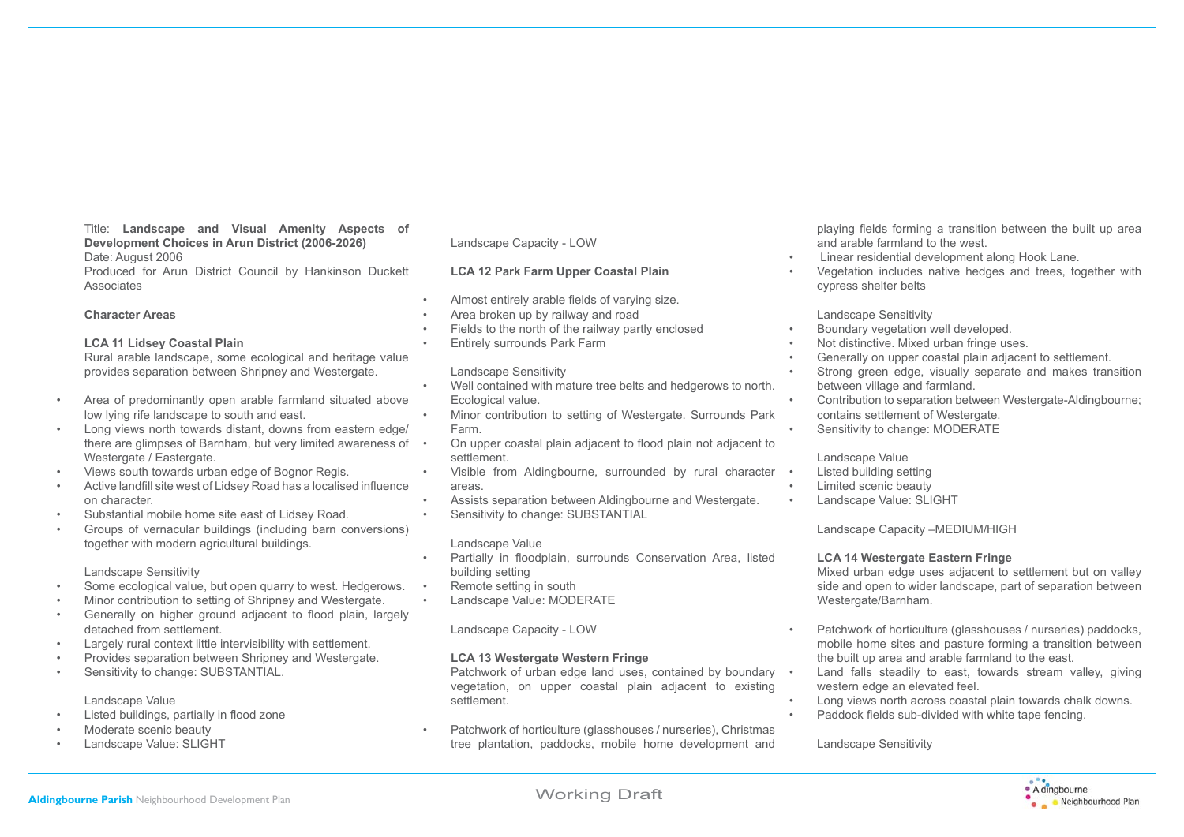#### Title: **Landscape and Visual Amenity Aspects of Development Choices in Arun District (2006-2026)** Date: August 2006

 Produced for Arun District Council by Hankinson Duckett Associates

#### **Character Areas**

#### **LCA 11 Lidsey Coastal Plain**

 Rural arable landscape, some ecological and heritage value provides separation between Shripney and Westergate.

- Area of predominantly open arable farmland situated above low lying rife landscape to south and east.
- Long views north towards distant, downs from eastern edge/ there are glimpses of Barnham, but very limited awareness of • Westergate / Eastergate.
- Views south towards urban edge of Bognor Regis.
- Active landfill site west of Lidsey Road has a localised influence on character.
- Substantial mobile home site east of Lidsey Road.
- Groups of vernacular buildings (including barn conversions) together with modern agricultural buildings.

#### Landscape Sensitivity

- Some ecological value, but open quarry to west. Hedgerows.
- Minor contribution to setting of Shripney and Westergate.
- Generally on higher ground adjacent to flood plain, largely detached from settlement.
- Largely rural context little intervisibility with settlement.
- Provides separation between Shripney and Westergate.
- Sensitivity to change: SUBSTANTIAL.

### Landscape Value

- Listed buildings, partially in flood zone
- Moderate scenic beauty
- Landscape Value: SLIGHT

# Landscape Capacity - LOW

# **LCA 12 Park Farm Upper Coastal Plain**

- Almost entirely arable fields of varying size.
- Area broken up by railway and road
- Fields to the north of the railway partly enclosed
- Entirely surrounds Park Farm

### Landscape Sensitivity

- Well contained with mature tree belts and hedgerows to north. Ecological value.
- Minor contribution to setting of Westergate. Surrounds Park Farm.
- On upper coastal plain adjacent to flood plain not adjacent to settlement.
- Visible from Aldingbourne, surrounded by rural character areas.
- Assists separation between Aldingbourne and Westergate.
- Sensitivity to change: SUBSTANTIAL

#### Landscape Value

- Partially in floodplain, surrounds Conservation Area, listed building setting
- Remote setting in south
- Landscape Value: MODERATE

### Landscape Capacity - LOW

# **LCA 13 Westergate Western Fringe**

Patchwork of urban edge land uses, contained by boundary • vegetation, on upper coastal plain adjacent to existing settlement.

• Patchwork of horticulture (glasshouses / nurseries), Christmas tree plantation, paddocks, mobile home development and playing fields forming a transition between the built up area and arable farmland to the west.

- Linear residential development along Hook Lane.
- Vegetation includes native hedges and trees, together with cypress shelter belts

Landscape Sensitivity

- Boundary vegetation well developed.
- Not distinctive. Mixed urban fringe uses.
- Generally on upper coastal plain adjacent to settlement.
- Strong green edge, visually separate and makes transition between village and farmland.
- Contribution to separation between Westergate-Aldingbourne; contains settlement of Westergate.
- Sensitivity to change: MODERATE

### Landscape Value

- Listed building setting
- Limited scenic beauty
- Landscape Value: SLIGHT

Landscape Capacity –MEDIUM/HIGH

### **LCA 14 Westergate Eastern Fringe**

 Mixed urban edge uses adjacent to settlement but on valley side and open to wider landscape, part of separation between Westergate/Barnham.

- Patchwork of horticulture (glasshouses / nurseries) paddocks, mobile home sites and pasture forming a transition between the built up area and arable farmland to the east.
- Land falls steadily to east, towards stream valley, giving western edge an elevated feel.
- Long views north across coastal plain towards chalk downs.
- Paddock fields sub-divided with white tape fencing.

Landscape Sensitivity

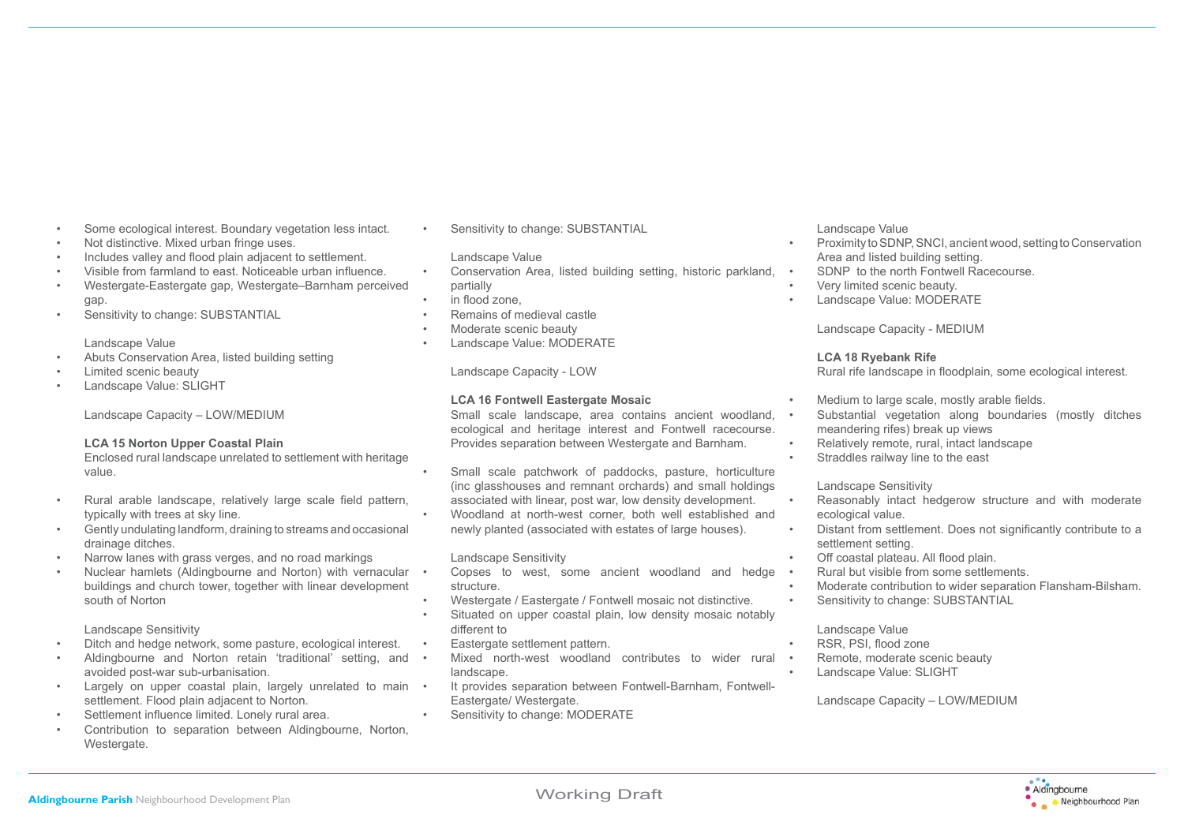- Some ecological interest. Boundary vegetation less intact.
- Not distinctive. Mixed urban fringe uses.
- Includes valley and flood plain adjacent to settlement.
- Visible from farmland to east. Noticeable urban influence.
- Westergate-Eastergate gap, Westergate–Barnham perceived gap.
- Sensitivity to change: SUBSTANTIAL

#### Landscape Value

- Abuts Conservation Area, listed building setting
- Limited scenic beauty
- Landscape Value: SLIGHT

Landscape Capacity – LOW/MEDIUM

#### **LCA 15 Norton Upper Coastal Plain**

 Enclosed rural landscape unrelated to settlement with heritage value.

- Rural arable landscape, relatively large scale field pattern, typically with trees at sky line.
- Gently undulating landform, draining to streams and occasional drainage ditches.
- Narrow lanes with grass verges, and no road markings
- Nuclear hamlets (Aldingbourne and Norton) with vernacular buildings and church tower, together with linear development south of Norton

Landscape Sensitivity

- Ditch and hedge network, some pasture, ecological interest.
- Aldingbourne and Norton retain 'traditional' setting, and avoided post-war sub-urbanisation.
- Largely on upper coastal plain, largely unrelated to main settlement. Flood plain adjacent to Norton.
- Settlement influence limited. Lonely rural area.
- Contribution to separation between Aldingbourne, Norton, Westergate.

Sensitivity to change: SUBSTANTIAL

# Landscape Value

- Conservation Area, listed building setting, historic parkland, partially
- in flood zone.
- Remains of medieval castle
- Moderate scenic beauty
- Landscape Value: MODERATE

Landscape Capacity - LOW

# **LCA 16 Fontwell Eastergate Mosaic**

 Small scale landscape, area contains ancient woodland, ecological and heritage interest and Fontwell racecourse. Provides separation between Westergate and Barnham.

• Small scale patchwork of paddocks, pasture, horticulture (inc glasshouses and remnant orchards) and small holdings associated with linear, post war, low density development.

• Woodland at north-west corner, both well established and newly planted (associated with estates of large houses).

# Landscape Sensitivity

- Copses to west, some ancient woodland and hedge structure.
- Westergate / Eastergate / Fontwell mosaic not distinctive.
- Situated on upper coastal plain, low density mosaic notably different to
- Eastergate settlement pattern.
- Mixed north-west woodland contributes to wider rural landscape.
- It provides separation between Fontwell-Barnham, Fontwell-Eastergate/ Westergate.
- Sensitivity to change: MODERATE

# Landscape Value

- Proximity to SDNP, SNCI, ancient wood, setting to Conservation Area and listed building setting.
- SDNP to the north Fontwell Racecourse.
- Very limited scenic beauty.
- Landscape Value: MODERATE

Landscape Capacity - MEDIUM

# **LCA 18 Ryebank Rife**

Rural rife landscape in floodplain, some ecological interest.

- Medium to large scale, mostly arable fields.
- Substantial vegetation along boundaries (mostly ditches meandering rifes) break up views
- Relatively remote, rural, intact landscape
- Straddles railway line to the east

Landscape Sensitivity

- Reasonably intact hedgerow structure and with moderate ecological value.
- Distant from settlement. Does not significantly contribute to a settlement setting.
- Off coastal plateau. All flood plain.
- Rural but visible from some settlements.
- Moderate contribution to wider separation Flansham-Bilsham.
- Sensitivity to change: SUBSTANTIAL

### Landscape Value

- RSR, PSI, flood zone
- Remote, moderate scenic beauty
	- Landscape Value: SLIGHT

Landscape Capacity – LOW/MEDIUM